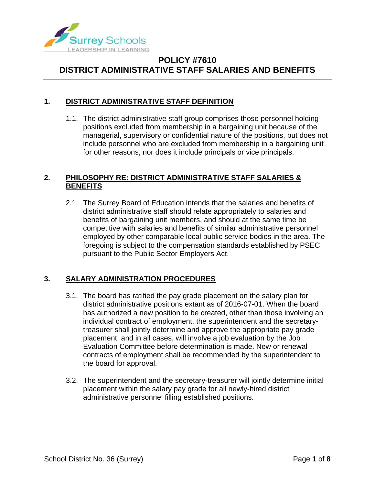

### **1. DISTRICT ADMINISTRATIVE STAFF DEFINITION**

1.1. The district administrative staff group comprises those personnel holding positions excluded from membership in a bargaining unit because of the managerial, supervisory or confidential nature of the positions, but does not include personnel who are excluded from membership in a bargaining unit for other reasons, nor does it include principals or vice principals.

### **2. PHILOSOPHY RE: DISTRICT ADMINISTRATIVE STAFF SALARIES & BENEFITS**

2.1. The Surrey Board of Education intends that the salaries and benefits of district administrative staff should relate appropriately to salaries and benefits of bargaining unit members, and should at the same time be competitive with salaries and benefits of similar administrative personnel employed by other comparable local public service bodies in the area. The foregoing is subject to the compensation standards established by PSEC pursuant to the Public Sector Employers Act.

### **3. SALARY ADMINISTRATION PROCEDURES**

- 3.1. The board has ratified the pay grade placement on the salary plan for district administrative positions extant as of 2016-07-01. When the board has authorized a new position to be created, other than those involving an individual contract of employment, the superintendent and the secretarytreasurer shall jointly determine and approve the appropriate pay grade placement, and in all cases, will involve a job evaluation by the Job Evaluation Committee before determination is made. New or renewal contracts of employment shall be recommended by the superintendent to the board for approval.
- 3.2. The superintendent and the secretary-treasurer will jointly determine initial placement within the salary pay grade for all newly-hired district administrative personnel filling established positions.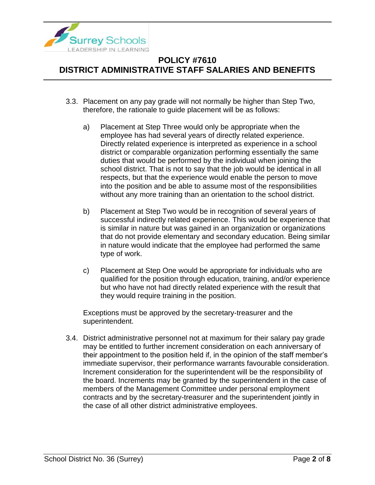

- 3.3. Placement on any pay grade will not normally be higher than Step Two, therefore, the rationale to guide placement will be as follows:
	- a) Placement at Step Three would only be appropriate when the employee has had several years of directly related experience. Directly related experience is interpreted as experience in a school district or comparable organization performing essentially the same duties that would be performed by the individual when joining the school district. That is not to say that the job would be identical in all respects, but that the experience would enable the person to move into the position and be able to assume most of the responsibilities without any more training than an orientation to the school district.
	- b) Placement at Step Two would be in recognition of several years of successful indirectly related experience. This would be experience that is similar in nature but was gained in an organization or organizations that do not provide elementary and secondary education. Being similar in nature would indicate that the employee had performed the same type of work.
	- c) Placement at Step One would be appropriate for individuals who are qualified for the position through education, training, and/or experience but who have not had directly related experience with the result that they would require training in the position.

Exceptions must be approved by the secretary-treasurer and the superintendent.

3.4. District administrative personnel not at maximum for their salary pay grade may be entitled to further increment consideration on each anniversary of their appointment to the position held if, in the opinion of the staff member's immediate supervisor, their performance warrants favourable consideration. Increment consideration for the superintendent will be the responsibility of the board. Increments may be granted by the superintendent in the case of members of the Management Committee under personal employment contracts and by the secretary-treasurer and the superintendent jointly in the case of all other district administrative employees.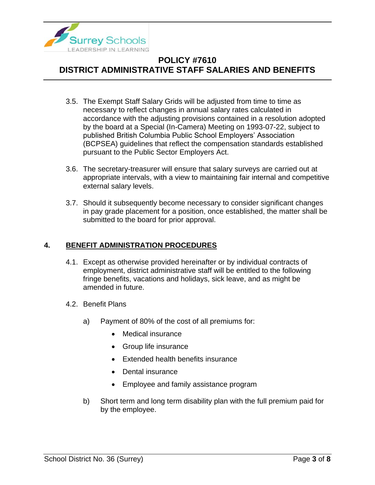

- 3.5. The Exempt Staff Salary Grids will be adjusted from time to time as necessary to reflect changes in annual salary rates calculated in accordance with the adjusting provisions contained in a resolution adopted by the board at a Special (In-Camera) Meeting on 1993-07-22, subject to published British Columbia Public School Employers' Association (BCPSEA) guidelines that reflect the compensation standards established pursuant to the Public Sector Employers Act.
- 3.6. The secretary-treasurer will ensure that salary surveys are carried out at appropriate intervals, with a view to maintaining fair internal and competitive external salary levels.
- 3.7. Should it subsequently become necessary to consider significant changes in pay grade placement for a position, once established, the matter shall be submitted to the board for prior approval.

### **4. BENEFIT ADMINISTRATION PROCEDURES**

- 4.1. Except as otherwise provided hereinafter or by individual contracts of employment, district administrative staff will be entitled to the following fringe benefits, vacations and holidays, sick leave, and as might be amended in future.
- 4.2. Benefit Plans
	- a) Payment of 80% of the cost of all premiums for:
		- Medical insurance
		- Group life insurance
		- Extended health benefits insurance
		- Dental insurance
		- Employee and family assistance program
	- b) Short term and long term disability plan with the full premium paid for by the employee.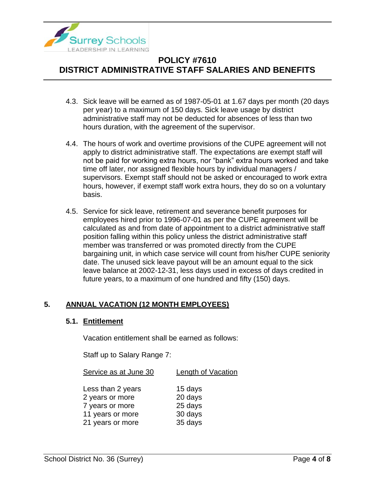

- 4.3. Sick leave will be earned as of 1987-05-01 at 1.67 days per month (20 days per year) to a maximum of 150 days. Sick leave usage by district administrative staff may not be deducted for absences of less than two hours duration, with the agreement of the supervisor.
- 4.4. The hours of work and overtime provisions of the CUPE agreement will not apply to district administrative staff. The expectations are exempt staff will not be paid for working extra hours, nor "bank" extra hours worked and take time off later, nor assigned flexible hours by individual managers / supervisors. Exempt staff should not be asked or encouraged to work extra hours, however, if exempt staff work extra hours, they do so on a voluntary basis.
- 4.5. Service for sick leave, retirement and severance benefit purposes for employees hired prior to 1996-07-01 as per the CUPE agreement will be calculated as and from date of appointment to a district administrative staff position falling within this policy unless the district administrative staff member was transferred or was promoted directly from the CUPE bargaining unit, in which case service will count from his/her CUPE seniority date. The unused sick leave payout will be an amount equal to the sick leave balance at 2002-12-31, less days used in excess of days credited in future years, to a maximum of one hundred and fifty (150) days.

### **5. ANNUAL VACATION (12 MONTH EMPLOYEES)**

#### **5.1. Entitlement**

Vacation entitlement shall be earned as follows:

Staff up to Salary Range 7:

| Service as at June 30 | Length of Vacation |
|-----------------------|--------------------|
|                       |                    |
| Less than 2 years     | 15 days            |
| 2 years or more       | 20 days            |
| 7 years or more       | 25 days            |
| 11 years or more      | 30 days            |
| 21 years or more      | 35 days            |
|                       |                    |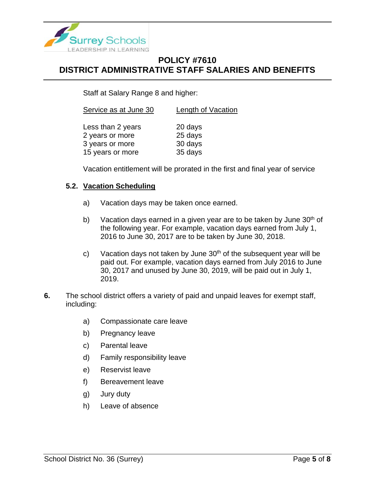

Staff at Salary Range 8 and higher:

| Service as at June 30 | Length of Vacation |
|-----------------------|--------------------|
| Less than 2 years     | 20 days            |
| 2 years or more       | 25 days            |
| 3 years or more       | 30 days            |
| 15 years or more      | 35 days            |

Vacation entitlement will be prorated in the first and final year of service

#### **5.2. Vacation Scheduling**

- a) Vacation days may be taken once earned.
- b) Vacation days earned in a given year are to be taken by June  $30<sup>th</sup>$  of the following year. For example, vacation days earned from July 1, 2016 to June 30, 2017 are to be taken by June 30, 2018.
- c) Vacation days not taken by June  $30<sup>th</sup>$  of the subsequent year will be paid out. For example, vacation days earned from July 2016 to June 30, 2017 and unused by June 30, 2019, will be paid out in July 1, 2019.
- **6.** The school district offers a variety of paid and unpaid leaves for exempt staff, including:
	- a) Compassionate care leave
	- b) Pregnancy leave
	- c) Parental leave
	- d) Family responsibility leave
	- e) Reservist leave
	- f) Bereavement leave
	- g) Jury duty
	- h) Leave of absence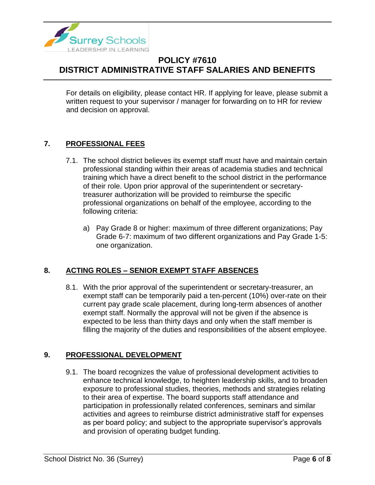

For details on eligibility, please contact HR. If applying for leave, please submit a written request to your supervisor / manager for forwarding on to HR for review and decision on approval.

### **7. PROFESSIONAL FEES**

- 7.1. The school district believes its exempt staff must have and maintain certain professional standing within their areas of academia studies and technical training which have a direct benefit to the school district in the performance of their role. Upon prior approval of the superintendent or secretarytreasurer authorization will be provided to reimburse the specific professional organizations on behalf of the employee, according to the following criteria:
	- a) Pay Grade 8 or higher: maximum of three different organizations; Pay Grade 6-7: maximum of two different organizations and Pay Grade 1-5: one organization.

### **8. ACTING ROLES – SENIOR EXEMPT STAFF ABSENCES**

8.1. With the prior approval of the superintendent or secretary-treasurer, an exempt staff can be temporarily paid a ten-percent (10%) over-rate on their current pay grade scale placement, during long-term absences of another exempt staff. Normally the approval will not be given if the absence is expected to be less than thirty days and only when the staff member is filling the majority of the duties and responsibilities of the absent employee.

### **9. PROFESSIONAL DEVELOPMENT**

9.1. The board recognizes the value of professional development activities to enhance technical knowledge, to heighten leadership skills, and to broaden exposure to professional studies, theories, methods and strategies relating to their area of expertise. The board supports staff attendance and participation in professionally related conferences, seminars and similar activities and agrees to reimburse district administrative staff for expenses as per board policy; and subject to the appropriate supervisor's approvals and provision of operating budget funding.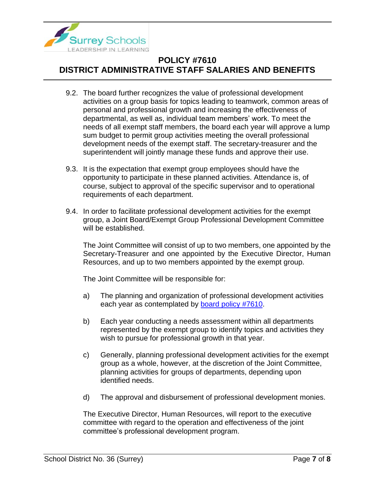

- 9.2. The board further recognizes the value of professional development activities on a group basis for topics leading to teamwork, common areas of personal and professional growth and increasing the effectiveness of departmental, as well as, individual team members' work. To meet the needs of all exempt staff members, the board each year will approve a lump sum budget to permit group activities meeting the overall professional development needs of the exempt staff. The secretary-treasurer and the superintendent will jointly manage these funds and approve their use.
- 9.3. It is the expectation that exempt group employees should have the opportunity to participate in these planned activities. Attendance is, of course, subject to approval of the specific supervisor and to operational requirements of each department.
- 9.4. In order to facilitate professional development activities for the exempt group, a Joint Board/Exempt Group Professional Development Committee will be established.

The Joint Committee will consist of up to two members, one appointed by the Secretary-Treasurer and one appointed by the Executive Director, Human Resources, and up to two members appointed by the exempt group.

The Joint Committee will be responsible for:

- a) The planning and organization of professional development activities each year as contemplated by **board policy #7610**.
- b) Each year conducting a needs assessment within all departments represented by the exempt group to identify topics and activities they wish to pursue for professional growth in that year.
- c) Generally, planning professional development activities for the exempt group as a whole, however, at the discretion of the Joint Committee, planning activities for groups of departments, depending upon identified needs.
- d) The approval and disbursement of professional development monies.

The Executive Director, Human Resources, will report to the executive committee with regard to the operation and effectiveness of the joint committee's professional development program.